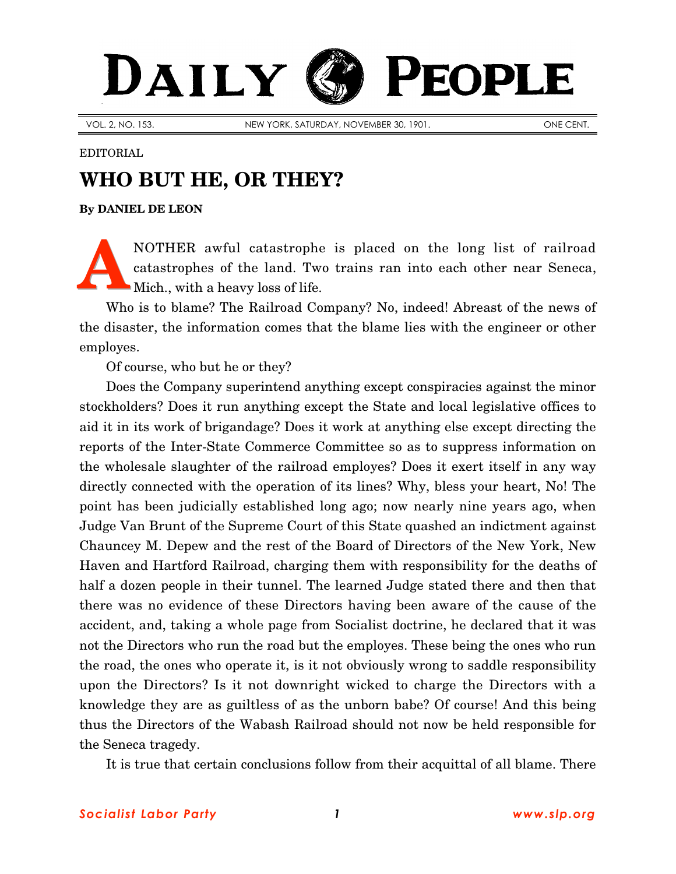## DAILY PEOPLE

VOL. 2, NO. 153. NEW YORK, SATURDAY, NOVEMBER 30, 1901. ONE CENT.

## EDITORIAL

## **WHO BUT HE, OR THEY?**

**By [DANIEL DE LEON](http://www.slp.org/De_Leon.htm)**

NOTHER awful catastrophe is placed on the long list of railroad catastrophes of the land. Two trains ran into each other near Seneca, Mich., with a heavy loss of life. **A**

Who is to blame? The Railroad Company? No, indeed! Abreast of the news of the disaster, the information comes that the blame lies with the engineer or other employes.

Of course, who but he or they?

Does the Company superintend anything except conspiracies against the minor stockholders? Does it run anything except the State and local legislative offices to aid it in its work of brigandage? Does it work at anything else except directing the reports of the Inter-State Commerce Committee so as to suppress information on the wholesale slaughter of the railroad employes? Does it exert itself in any way directly connected with the operation of its lines? Why, bless your heart, No! The point has been judicially established long ago; now nearly nine years ago, when Judge Van Brunt of the Supreme Court of this State quashed an indictment against Chauncey M. Depew and the rest of the Board of Directors of the New York, New Haven and Hartford Railroad, charging them with responsibility for the deaths of half a dozen people in their tunnel. The learned Judge stated there and then that there was no evidence of these Directors having been aware of the cause of the accident, and, taking a whole page from Socialist doctrine, he declared that it was not the Directors who run the road but the employes. These being the ones who run the road, the ones who operate it, is it not obviously wrong to saddle responsibility upon the Directors? Is it not downright wicked to charge the Directors with a knowledge they are as guiltless of as the unborn babe? Of course! And this being thus the Directors of the Wabash Railroad should not now be held responsible for the Seneca tragedy.

It is true that certain conclusions follow from their acquittal of all blame. There